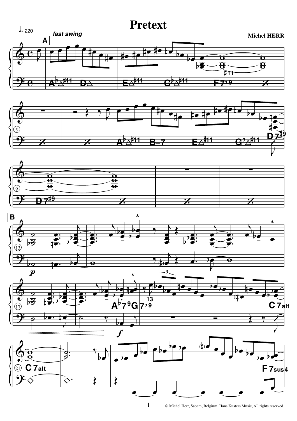## **Pretext**











© Michel Herr, Sabam, Belgium. Hans Kusters Music, All rights reserved.

 $\mathbf{1}$